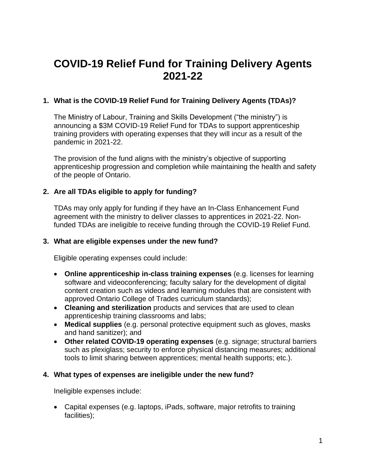# **COVID-19 Relief Fund for Training Delivery Agents 2021-22**

# **1. What is the COVID-19 Relief Fund for Training Delivery Agents (TDAs)?**

The Ministry of Labour, Training and Skills Development ("the ministry") is announcing a \$3M COVID-19 Relief Fund for TDAs to support apprenticeship training providers with operating expenses that they will incur as a result of the pandemic in 2021-22.

The provision of the fund aligns with the ministry's objective of supporting apprenticeship progression and completion while maintaining the health and safety of the people of Ontario.

## **2. Are all TDAs eligible to apply for funding?**

TDAs may only apply for funding if they have an In-Class Enhancement Fund agreement with the ministry to deliver classes to apprentices in 2021-22. Nonfunded TDAs are ineligible to receive funding through the COVID-19 Relief Fund.

#### **3. What are eligible expenses under the new fund?**

Eligible operating expenses could include:

- **Online apprenticeship in-class training expenses** (e.g. licenses for learning software and videoconferencing; faculty salary for the development of digital content creation such as videos and learning modules that are consistent with approved Ontario College of Trades curriculum standards);
- **Cleaning and sterilization** products and services that are used to clean apprenticeship training classrooms and labs;
- **Medical supplies** (e.g. personal protective equipment such as gloves, masks and hand sanitizer); and
- **Other related COVID-19 operating expenses** (e.g. signage; structural barriers such as plexiglass; security to enforce physical distancing measures; additional tools to limit sharing between apprentices; mental health supports; etc.).

# **4. What types of expenses are ineligible under the new fund?**

Ineligible expenses include:

• Capital expenses (e.g. laptops, iPads, software, major retrofits to training facilities);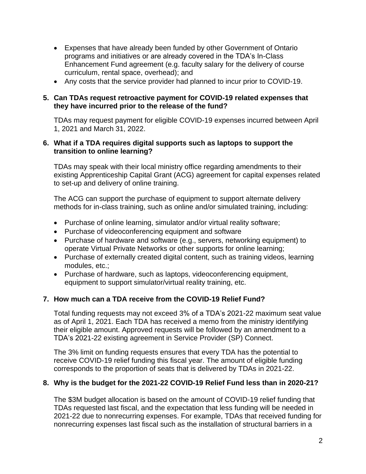- Expenses that have already been funded by other Government of Ontario programs and initiatives or are already covered in the TDA's In-Class Enhancement Fund agreement (e.g. faculty salary for the delivery of course curriculum, rental space, overhead); and
- Any costs that the service provider had planned to incur prior to COVID-19.

#### **5. Can TDAs request retroactive payment for COVID-19 related expenses that they have incurred prior to the release of the fund?**

TDAs may request payment for eligible COVID-19 expenses incurred between April 1, 2021 and March 31, 2022.

#### **6. What if a TDA requires digital supports such as laptops to support the transition to online learning?**

TDAs may speak with their local ministry office regarding amendments to their existing Apprenticeship Capital Grant (ACG) agreement for capital expenses related to set-up and delivery of online training.

The ACG can support the purchase of equipment to support alternate delivery methods for in-class training, such as online and/or simulated training, including:

- Purchase of online learning, simulator and/or virtual reality software;
- Purchase of videoconferencing equipment and software
- Purchase of hardware and software (e.g., servers, networking equipment) to operate Virtual Private Networks or other supports for online learning;
- Purchase of externally created digital content, such as training videos, learning modules, etc.;
- Purchase of hardware, such as laptops, videoconferencing equipment, equipment to support simulator/virtual reality training, etc.

# **7. How much can a TDA receive from the COVID-19 Relief Fund?**

Total funding requests may not exceed 3% of a TDA's 2021-22 maximum seat value as of April 1, 2021. Each TDA has received a memo from the ministry identifying their eligible amount. Approved requests will be followed by an amendment to a TDA's 2021-22 existing agreement in Service Provider (SP) Connect.

The 3% limit on funding requests ensures that every TDA has the potential to receive COVID-19 relief funding this fiscal year. The amount of eligible funding corresponds to the proportion of seats that is delivered by TDAs in 2021-22.

#### **8. Why is the budget for the 2021-22 COVID-19 Relief Fund less than in 2020-21?**

The \$3M budget allocation is based on the amount of COVID-19 relief funding that TDAs requested last fiscal, and the expectation that less funding will be needed in 2021-22 due to nonrecurring expenses. For example, TDAs that received funding for nonrecurring expenses last fiscal such as the installation of structural barriers in a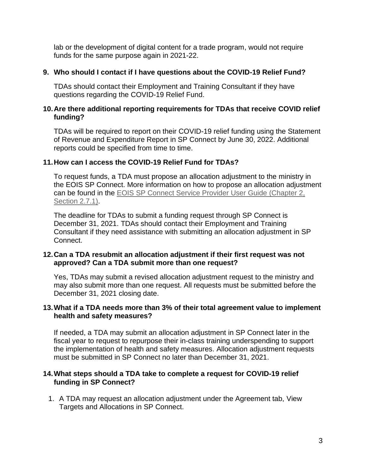lab or the development of digital content for a trade program, would not require funds for the same purpose again in 2021-22.

#### **9. Who should I contact if I have questions about the COVID-19 Relief Fund?**

TDAs should contact their Employment and Training Consultant if they have questions regarding the COVID-19 Relief Fund.

#### **10. Are there additional reporting requirements for TDAs that receive COVID relief funding?**

TDAs will be required to report on their COVID-19 relief funding using the Statement of Revenue and Expenditure Report in SP Connect by June 30, 2022. Additional reports could be specified from time to time.

## **11. How can I access the COVID-19 Relief Fund for TDAs?**

To request funds, a TDA must propose an allocation adjustment to the ministry in the EOIS SP Connect. More information on how to propose an allocation adjustment can be found in the EOIS [SP Connect Service Provider User Guide](https://www.myeois.tcu.gov.on.ca/wp-content/uploads/SP-Connect-SP-User-Guide-Chapter-2-Agreement-Management.pdf) (Chapter 2, [Section 2.7.1\).](https://www.myeois.tcu.gov.on.ca/wp-content/uploads/SP-Connect-SP-User-Guide-Chapter-2-Agreement-Management.pdf)

The deadline for TDAs to submit a funding request through SP Connect is December 31, 2021. TDAs should contact their Employment and Training Consultant if they need assistance with submitting an allocation adjustment in SP Connect.

## **12. Can a TDA resubmit an allocation adjustment if their first request was not approved? Can a TDA submit more than one request?**

Yes, TDAs may submit a revised allocation adjustment request to the ministry and may also submit more than one request. All requests must be submitted before the December 31, 2021 closing date.

#### **13. What if a TDA needs more than 3% of their total agreement value to implement health and safety measures?**

If needed, a TDA may submit an allocation adjustment in SP Connect later in the fiscal year to request to repurpose their in-class training underspending to support the implementation of health and safety measures. Allocation adjustment requests must be submitted in SP Connect no later than December 31, 2021.

## **14. What steps should a TDA take to complete a request for COVID-19 relief funding in SP Connect?**

1. A TDA may request an allocation adjustment under the Agreement tab, View Targets and Allocations in SP Connect.